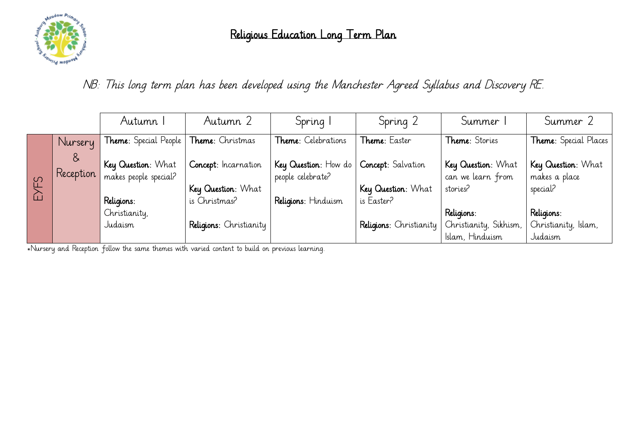

NB: This long term plan has been developed using the Manchester Agreed Syllabus and Discovery RE.

|      |                | Autumn 1                                    | Autumn 2                                   | Spring                                    | Spring 2                                 | Summer 1                                            | Summer 2                                        |
|------|----------------|---------------------------------------------|--------------------------------------------|-------------------------------------------|------------------------------------------|-----------------------------------------------------|-------------------------------------------------|
|      | Nursery        | <b>Theme:</b> Special People                | Theme: Christmas                           | Theme: Celebrations                       | Theme: Easter                            | Theme: Stories                                      | Theme: Special Places                           |
| EYFS | &<br>Reception | Key Question: What<br>makes people special? | Concept: Incarnation<br>Key Question: What | Key Question: How do<br>people celebrate? | Concept: Salvation<br>Key Question: What | Key Question: What<br>can we learn from<br>stories? | Key Question: What<br>makes a place<br>special? |
|      |                | Religions:                                  | is Christmas?                              | Religions: Hinduism                       | is Easter?                               |                                                     |                                                 |
|      |                | Christianity,                               |                                            |                                           |                                          | Religions:                                          | Religions:                                      |
|      |                | Judaism                                     | Religions: Christianity                    |                                           | Religions: Christianity                  | Christianity, Sikhism,                              | Christianity, Islam,                            |
|      |                |                                             |                                            |                                           |                                          | Islam, Hinduism                                     | Judaism                                         |

\*Nursery and Reception follow the same themes with varied content to build on previous learning.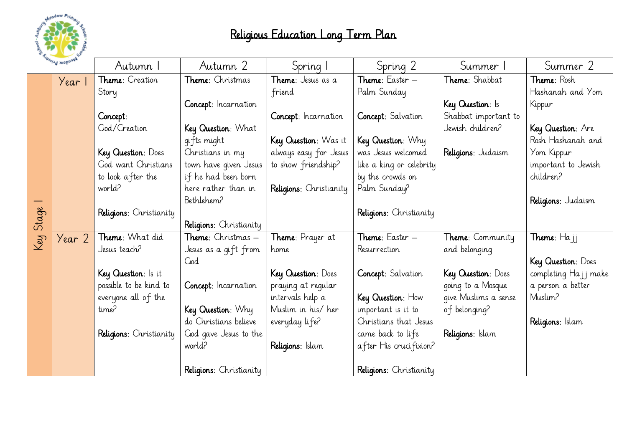

| WEGGOW Primary |        | Autumn I                | Autumn 2                   | Spring I                  | Spring 2                 | Summer 1                | Summer 2                |
|----------------|--------|-------------------------|----------------------------|---------------------------|--------------------------|-------------------------|-------------------------|
|                | Year 1 | Theme: Creation         | Theme: Christmas           | <b>Theme</b> : Jesus as a | Theme: Easter -          | Theme: Shabbat          | <b>Theme:</b> Rosh      |
|                |        | Story                   |                            | friend                    | Palm Sunday              |                         | Hashanah and Yom        |
|                |        |                         | Concept: Incarnation       |                           |                          | Key Question: Is        | Kippur                  |
|                |        | Concept:                |                            | Concept: Incarnation      | Concept: Salvation       | Shabbat important to    |                         |
|                |        | God/Creation            | Key Question: What         |                           |                          | Jewish children?        | Key Question: Are       |
|                |        |                         | qifts might                | Key Question: Was it      | Key Question: Why        |                         | Rosh Hashanah and       |
|                |        | Key Question: Does      | Christians in my           | always easy for Jesus     | was Jesus welcomed       | Religions: Judaism      | Yom Kippur              |
|                |        | God want Christians     | town have given Jesus      | to show friendship?       | like a king or celebrity |                         | important to Jewish     |
|                |        | to look after the       | if he had been born        |                           | by the crowds on         |                         | children?               |
|                |        | world?                  | here rather than in        | Religions: Christianity   | Palm Sunday?             |                         |                         |
|                |        |                         | Bethlehem?                 |                           |                          |                         | Religions: Judaism      |
|                |        | Religions: Christianity |                            |                           | Religions: Christianity  |                         |                         |
| Stage          |        |                         | Religions: Christianity    |                           |                          |                         |                         |
| Key            | Year 2 | Theme: What did         | <b>Theme</b> : Christmas – | Theme: Prayer at          | Theme: Easter -          | <b>Theme:</b> Community | <b>Theme</b> : $Ha$ j j |
|                |        | Jesus teach?            | Jesus as a gift from       | home                      | Resurrection             | and belonging           |                         |
|                |        |                         | God                        |                           |                          |                         | Key Question: Does      |
|                |        | Key Question: Is it     |                            | Key Question: Does        | Concept: Salvation       | Key Question: Does      | completing Ha j j make  |
|                |        | possible to be kind to  | Concept: Incarnation       | praying at regular        |                          | going to a Mosque       | a person a better       |
|                |        | everyone all of the     |                            | intervals help a          | Key Question: How        | give Muslims a sense    | Muslim?                 |
|                |        | time?                   | Key Question: Why          | Muslim in his/her         | important is it to       | of belonging?           |                         |
|                |        |                         | do Christians believe      | everyday life?            | Christians that Jesus    |                         | Religions: Islam        |
|                |        | Religions: Christianity | God gave Jesus to the      |                           | came back to life        | Religions: Islam        |                         |
|                |        |                         | world?                     | Religions: Islam          | after His crucifixion?   |                         |                         |
|                |        |                         | Religions: Christianity    |                           | Religions: Christianity  |                         |                         |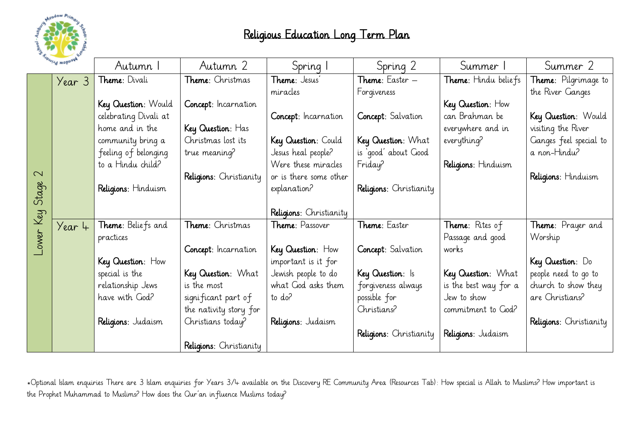

| WEBBOW Primare  |          | Autumn I              | Autumn 2                | Spring I                | Spring 2                | Summer 1               | Summer 2                     |
|-----------------|----------|-----------------------|-------------------------|-------------------------|-------------------------|------------------------|------------------------------|
|                 | Year 3   | <b>Theme:</b> Divali  | Theme: Christmas        | <b>Theme</b> : Jesus'   | Theme: Easter -         | Theme: Hindu beliefs   | <b>Theme</b> : Pilgrimage to |
|                 |          |                       |                         | miracles                | Forgiveness             |                        | the River Ganges             |
|                 |          | Key Question: Would   | Concept: Incarnation    |                         |                         | Key Question: How      |                              |
|                 |          | celebrating Divali at |                         | Concept: Incarnation    | Concept: Salvation      | can Brahman be         | Key Question: Would          |
|                 |          | home and in the       | Key Question: Has       |                         |                         | everywhere and in      | visiting the River           |
|                 |          | community bring a     | Christmas lost its      | Key Question: Could     | Key Question: What      | everything?            | Ganges feel special to       |
|                 |          | feeling of belonging  | true meaning?           | Jesus heal people?      | is 'good' about Good    |                        | a non-Hindu?                 |
|                 |          | to a Hindu child?     |                         | Were these miracles     | Friday?                 | Religions: Hinduism    |                              |
| $\sim$<br>Stage |          |                       | Religions: Christianity | or is there some other  |                         |                        | Religions: Hinduism          |
|                 |          | Religions: Hinduism   |                         | explanation?            | Religions: Christianity |                        |                              |
|                 |          |                       |                         |                         |                         |                        |                              |
| Key             |          |                       |                         | Religions: Christianity |                         |                        |                              |
|                 | $Year +$ | Theme: Beliefs and    | Theme: Christmas        | <b>Theme: Passover</b>  | Theme: Easter           | <b>Theme:</b> Rites of | Theme: Prayer and            |
| -ower           |          | practices             |                         |                         |                         | Passage and good       | Worship                      |
|                 |          |                       | Concept: Incarnation    | Key Question: How       | Concept: Salvation      | works                  |                              |
|                 |          | Key Question: How     |                         | important is it for     |                         |                        | Key Question: Do             |
|                 |          | special is the        | Key Question: What      | Jewish people to do     | Key Question: Is        | Key Question: What     | people need to go to         |
|                 |          | relationship Jews     | is the most             | what God asks them      | forgiveness always      | is the best way for a  | church to show they          |
|                 |          | have with God?        | significant part of     | to do?                  | possible for            | Jew to show            | are Christians?              |
|                 |          |                       | the nativity story for  |                         | Christians?             | commitment to God?     |                              |
|                 |          | Religions: Judaism    | Christians today?       | Religions: Judaism      |                         |                        | Religions: Christianity      |
|                 |          |                       |                         |                         | Religions: Christianity | Religions: Judaism     |                              |
|                 |          |                       | Religions: Christianity |                         |                         |                        |                              |

\*Optional Islam enquiries There are 3 Islam enquiries for Years 3/4 available on the Discovery RE Community Area (Resources Tab): How special is Allah to Muslims? How important is the Prophet Muhammad to Muslims? How does the Qur'an influence Muslims today?